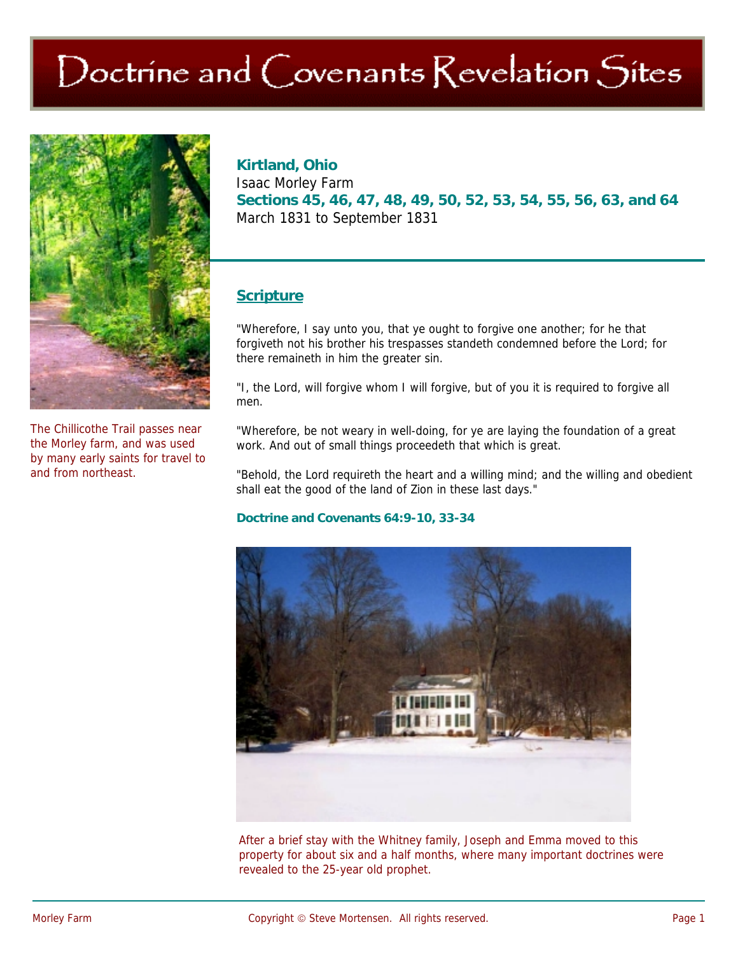# Doctrine and Covenants Revelation Sites



The Chillicothe Trail passes near the Morley farm, and was used by many early saints for travel to and from northeast.

## **Kirtland, Ohio**

Isaac Morley Farm **Sections 45, 46, 47, 48, 49, 50, 52, 53, 54, 55, 56, 63, and 64**  March 1831 to September 1831

## **Scripture**

"Wherefore, I say unto you, that ye ought to forgive one another; for he that forgiveth not his brother his trespasses standeth condemned before the Lord; for there remaineth in him the greater sin.

"I, the Lord, will forgive whom I will forgive, but of you it is required to forgive all men.

"Wherefore, be not weary in well-doing, for ye are laying the foundation of a great work. And out of small things proceedeth that which is great.

"Behold, the Lord requireth the heart and a willing mind; and the willing and obedient shall eat the good of the land of Zion in these last days."

#### **Doctrine and Covenants 64:9-10, 33-34**



After a brief stay with the Whitney family, Joseph and Emma moved to this property for about six and a half months, where many important doctrines were revealed to the 25-year old prophet.